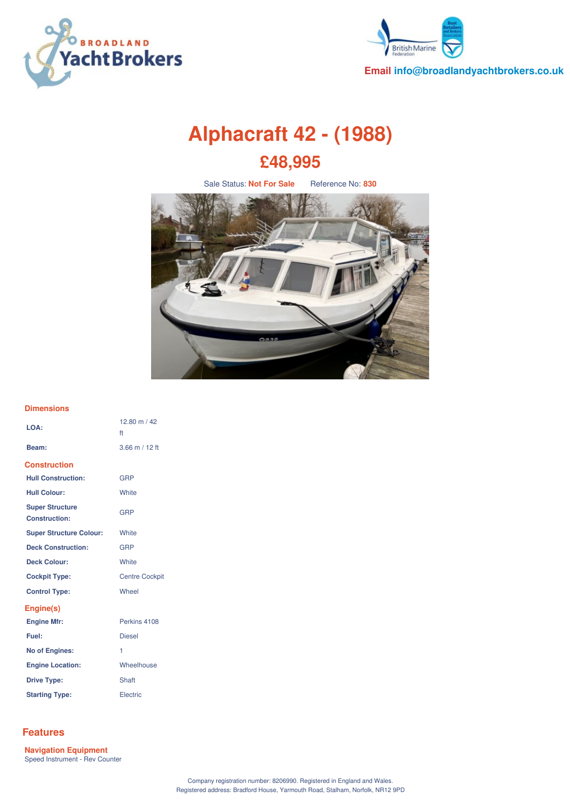



**Email info@broadlandyachtbrokers.co.uk**

# **Alphacraft 42 - (1988) £48,995**

Sale Status: **Not For Sale** Reference No: **830**



### **Dimensions**

| LOA:                                           | 12.80 m / 42<br>ft    |
|------------------------------------------------|-----------------------|
| Beam:                                          | $3.66$ m / 12 ft      |
| <b>Construction</b>                            |                       |
| <b>Hull Construction:</b>                      | GRP                   |
| <b>Hull Colour:</b>                            | White                 |
| <b>Super Structure</b><br><b>Construction:</b> | <b>GRP</b>            |
| <b>Super Structure Colour:</b>                 | White                 |
| <b>Deck Construction:</b>                      | <b>GRP</b>            |
| <b>Deck Colour:</b>                            | <b>White</b>          |
| <b>Cockpit Type:</b>                           | <b>Centre Cockpit</b> |
| <b>Control Type:</b>                           | Wheel                 |
| Engine(s)                                      |                       |
| <b>Engine Mfr:</b>                             | Perkins 4108          |
| Fuel:                                          | <b>Diesel</b>         |
| No of Engines:                                 | 1                     |
| <b>Engine Location:</b>                        | Wheelhouse            |
| <b>Drive Type:</b>                             | Shaft                 |
| <b>Starting Type:</b>                          | Electric              |

# **Features**

**Navigation Equipment** Speed Instrument - Rev Counter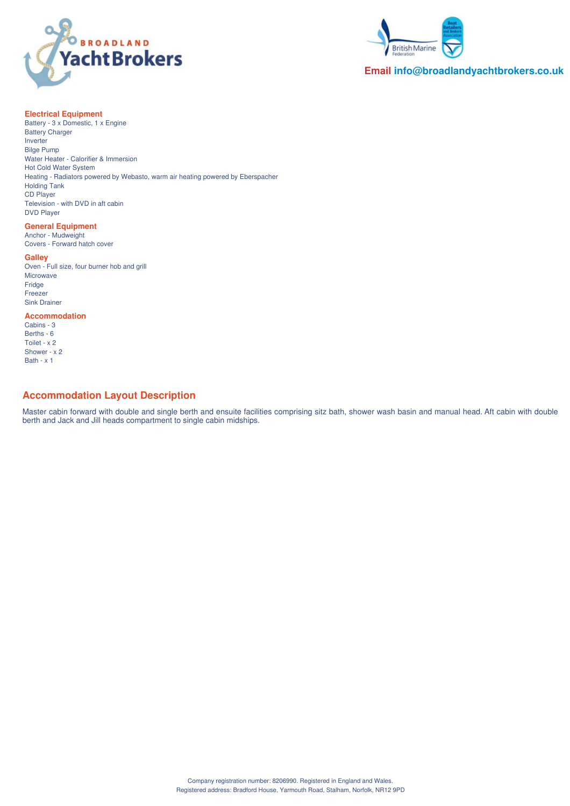



## **Email info@broadlandyachtbrokers.co.uk**

### **Electrical Equipment**

Battery - 3 x Domestic, 1 x Engine Battery Charger Inverter Bilge Pump Water Heater - Calorifier & Immersion Hot Cold Water System Heating - Radiators powered by Webasto, warm air heating powered by Eberspacher Holding Tank CD Player Television - with DVD in aft cabin DVD Player

## **General Equipment**

Anchor - Mudweight Covers - Forward hatch cover

### **Galley**

Oven - Full size, four burner hob and grill Microwave Fridge **Freezer** Sink Drainer

## **Accommodation**

Cabins - 3 Berths - 6 Toilet - x 2 Shower - x 2 Bath -  $\times$  1

# **Accommodation Layout Description**

Master cabin forward with double and single berth and ensuite facilities comprising sitz bath, shower wash basin and manual head. Aft cabin with double berth and Jack and Jill heads compartment to single cabin midships.